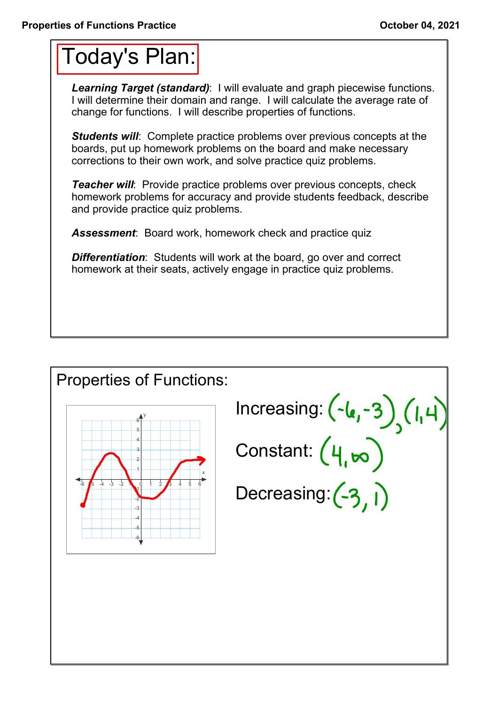## Today's Plan:

*Learning Target (standard)*: I will evaluate and graph piecewise functions. I will determine their domain and range. I will calculate the average rate of change for functions. I will describe properties of functions.

**Students will:** Complete practice problems over previous concepts at the boards, put up homework problems on the board and make necessary corrections to their own work, and solve practice quiz problems.

*Teacher will:* Provide practice problems over previous concepts, check homework problems for accuracy and provide students feedback, describe and provide practice quiz problems.

*Assessment*: Board work, homework check and practice quiz

*Differentiation*: Students will work at the board, go over and correct homework at their seats, actively engage in practice quiz problems.

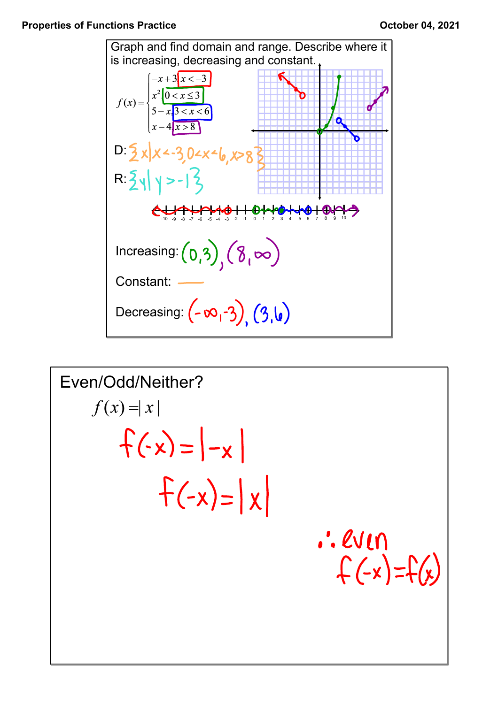

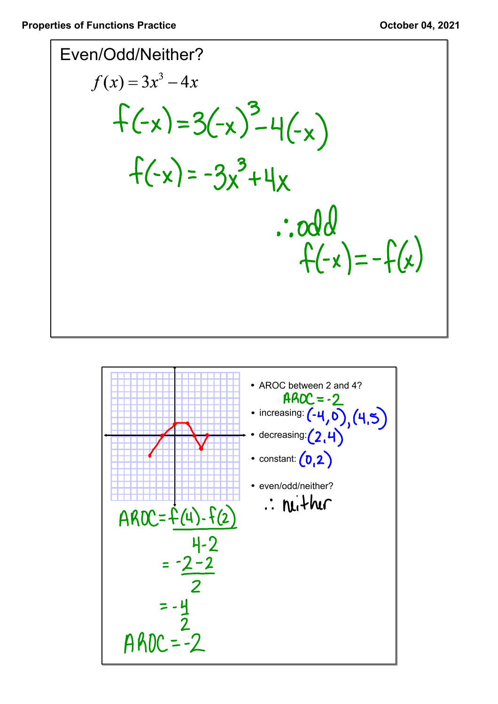

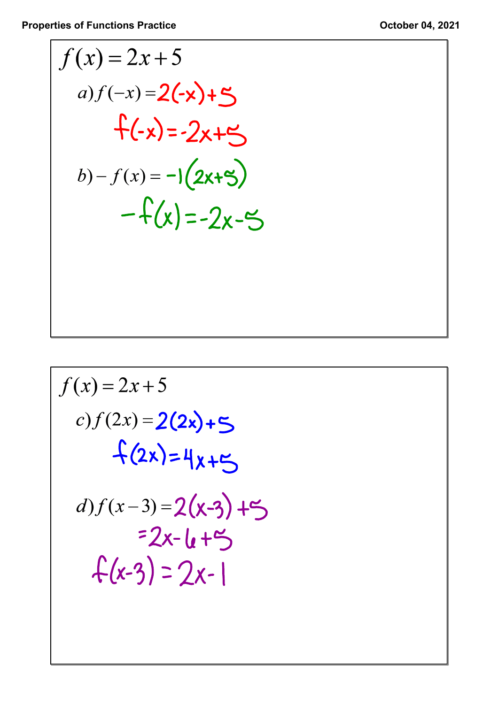**Properties of Functions Practice COLOREGIST 2021** 

$$
f(x) = 2x + 5
$$
  
a)  $f(-x) = 2(-x) + 5$   
 $f(-x) = -2x + 5$   
b)  $- f(x) = -1(2x + 5)$   
 $-f(x) = -2x - 5$ 

$$
f(x) = 2x + 5
$$
  
\n*c*) $f(2x) = 2(2x) + 5$   
\n $f(2x) = 4x + 5$   
\n*d*) $f(x-3) = 2(x-3) + 5$   
\n $= 2x - 4 + 5$   
\n $f(x-3) = 2x - 1$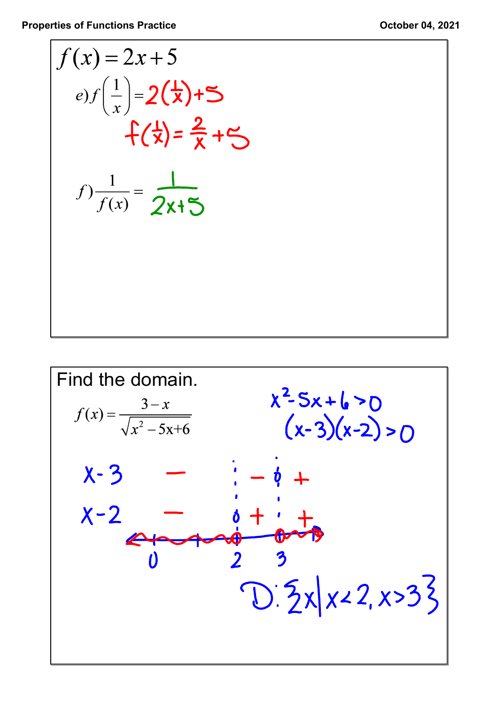**Properties of Functions Practice COLOREGIST 2021 October 04, 2021** 

$$
f(x) = 2x+5
$$
  
\ne)f\left(\frac{1}{x}\right) = 2(\frac{1}{x})+5  
\nf(\frac{1}{x}) = \frac{2}{x}+5  
\nf\left(\frac{1}{x}\right) = \frac{1}{2x+5}